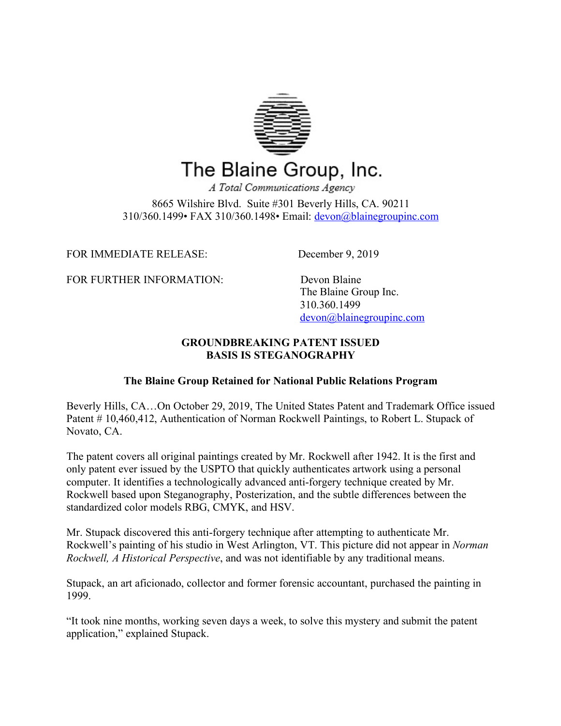

## The Blaine Group, Inc.

A Total Communications Agency 8665 Wilshire Blvd. Suite #301 Beverly Hills, CA. 90211 310/360.1499• FAX 310/360.1498• Email: devon@blainegroupinc.com

FOR IMMEDIATE RELEASE: December 9, 2019

FOR FURTHER INFORMATION: Devon Blaine

 The Blaine Group Inc. 310.360.1499 devon@blainegroupinc.com

## **GROUNDBREAKING PATENT ISSUED BASIS IS STEGANOGRAPHY**

## **The Blaine Group Retained for National Public Relations Program**

Beverly Hills, CA…On October 29, 2019, The United States Patent and Trademark Office issued Patent # 10,460,412, Authentication of Norman Rockwell Paintings, to Robert L. Stupack of Novato, CA.

The patent covers all original paintings created by Mr. Rockwell after 1942. It is the first and only patent ever issued by the USPTO that quickly authenticates artwork using a personal computer. It identifies a technologically advanced anti-forgery technique created by Mr. Rockwell based upon Steganography, Posterization, and the subtle differences between the standardized color models RBG, CMYK, and HSV.

Mr. Stupack discovered this anti-forgery technique after attempting to authenticate Mr. Rockwell's painting of his studio in West Arlington, VT. This picture did not appear in *Norman Rockwell, A Historical Perspective*, and was not identifiable by any traditional means.

Stupack, an art aficionado, collector and former forensic accountant, purchased the painting in 1999.

"It took nine months, working seven days a week, to solve this mystery and submit the patent application," explained Stupack.